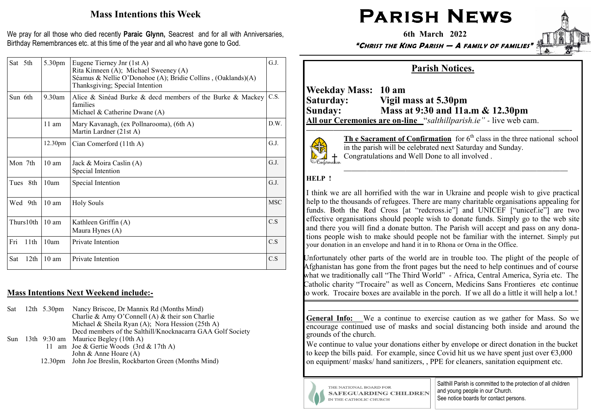## Mass Intentions this Week

We pray for all those who died recently Paraic Glynn, Seacrest and for all with Anniversaries, Birthday Remembrances etc. at this time of the year and all who have gone to God.

| Sat 5th                 | 5.30pm              | Eugene Tierney Jnr (1st A)<br>Rita Kinneen (A); Michael Sweeney (A)<br>Séamus & Nellie O'Donohoe (A); Bridie Collins, (Oaklands)(A)<br>Thanksgiving; Special Intention | G.J.       |
|-------------------------|---------------------|------------------------------------------------------------------------------------------------------------------------------------------------------------------------|------------|
| Sun 6th                 | $9.30$ am           | Alice & Sinéad Burke & decd members of the Burke & Mackey<br>families<br>Michael & Catherine Dwane (A)                                                                 | C.S.       |
|                         | $11$ am             | Mary Kavanagh, (ex Pollnarooma), (6th A)<br>Martin Lardner (21st A)                                                                                                    | D.W.       |
|                         | 12.30 <sub>pm</sub> | Cian Comerford (11th A)                                                                                                                                                | G.J.       |
| Mon 7th                 | 10 <sub>am</sub>    | Jack & Moira Caslin (A)<br>Special Intention                                                                                                                           | G.J.       |
| Tues 8th                | 10am                | Special Intention                                                                                                                                                      | G.J.       |
| Wed 9th                 | $10 \text{ am}$     | <b>Holy Souls</b>                                                                                                                                                      | <b>MSC</b> |
| Thurs10th               | $10 \text{ am}$     | Kathleen Griffin (A)<br>Maura Hynes (A)                                                                                                                                | C.S        |
| Fri<br>11th             | 10am                | Private Intention                                                                                                                                                      | C.S        |
| 12 <sup>th</sup><br>Sat | $10 \text{ am}$     | Private Intention                                                                                                                                                      | C.S        |

### Mass Intentions Next Weekend include:**-**

| Sat | 12th $5.30 \text{pm}$ | Nancy Briscoe, Dr Mannix Rd (Months Mind)                  |
|-----|-----------------------|------------------------------------------------------------|
|     |                       | Charlie & Amy O'Connell (A) & their son Charlie            |
|     |                       | Michael & Sheila Ryan $(A)$ ; Nora Hession (25th A)        |
|     |                       | Decd members of the Salthill/Knocknacarra GAA Golf Society |
|     |                       | Sun 13th $9:30$ am Maurice Begley (10th A)                 |
|     |                       | 11 am Joe & Gertie Woods $(3rd & 17th A)$                  |
|     |                       | John & Anne Hoare $(A)$                                    |
|     |                       | 12.30pm John Joe Breslin, Rockbarton Green (Months Mind)   |

# PARISH NEWS

6th March 2022

"CHRIST THE KING PARISH — A FAMILY OF FAMILIES"

# Parish Notices.

———————————————————————–———-——-

Weekday Mass: 10 am Saturday: Vigil mass at 5.30pm Sunday: Mass at 9:30 and 11a.m & 12.30pm All our Ceremonies are on**-**line "salthillparish.ie" *-* live web cam.



**The Sacrament of Confirmation** for  $6<sup>th</sup>$  class in the three national school in the parish will be celebrated next Saturday and Sunday. Congratulations and Well Done to all involved .

#### HELP !

I think we are all horrified with the war in Ukraine and people wish to give practical help to the thousands of refugees. There are many charitable organisations appealing for funds. Both the Red Cross [at "redcross.ie"] and UNICEF ["unicef.ie"] are two effective organisations should people wish to donate funds. Simply go to the web site and there you will find a donate button. The Parish will accept and pass on any donations people wish to make should people not be familiar with the internet. Simply put your donation in an envelope and hand it in to Rhona or Orna in the Office.

Unfortunately other parts of the world are in trouble too. The plight of the people of Afghanistan has gone from the front pages but the need to help continues and of course what we traditionally call "The Third World" - Africa, Central America, Syria etc. The Catholic charity "Trocaire" as well as Concern, Medicins Sans Frontieres etc continue to work. Trocaire boxes are available in the porch. If we all do a little it will help a lot.!

General Info: We a continue to exercise caution as we gather for Mass. So we encourage continued use of masks and social distancing both inside and around the grounds of the church.

———————————————————————————————————

We continue to value your donations either by envelope or direct donation in the bucket to keep the bills paid. For example, since Covid hit us we have spent just over  $\epsilon$ 3,000 on equipment/ masks/ hand sanitizers, , PPE for cleaners, sanitation equipment etc.



THE NATIONAL BOARD FOR **SAFEGUARDING CHILDREN** IN THE CATHOLIC CHURCH

Salthill Parish is committed to the protection of all children and young people in our Church. See notice boards for contact persons.